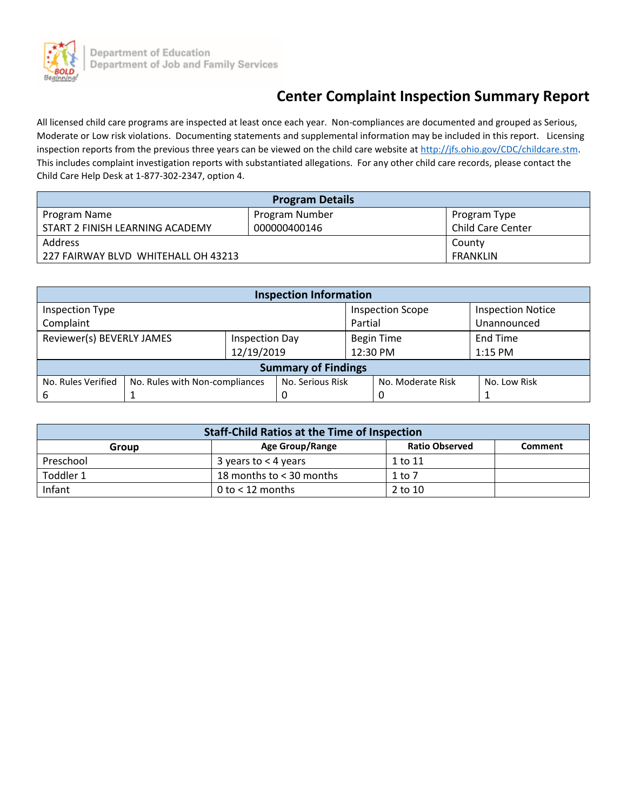

# **Center Complaint Inspection Summary Report**

All licensed child care programs are inspected at least once each year. Non-compliances are documented and grouped as Serious, Moderate or Low risk violations. Documenting statements and supplemental information may be included in this report. Licensing inspection reports from the previous three years can be viewed on the child care website a[t http://jfs.ohio.gov/CDC/childcare.stm.](http://jfs.ohio.gov/CDC/childcare.stm) This includes complaint investigation reports with substantiated allegations. For any other child care records, please contact the Child Care Help Desk at 1-877-302-2347, option 4.

| <b>Program Details</b>              |                |                          |  |  |  |  |
|-------------------------------------|----------------|--------------------------|--|--|--|--|
| Program Name                        | Program Number | Program Type             |  |  |  |  |
| START 2 FINISH LEARNING ACADEMY     | 000000400146   | <b>Child Care Center</b> |  |  |  |  |
| Address                             |                | County                   |  |  |  |  |
| 227 FAIRWAY BLVD WHITEHALL OH 43213 |                | FRANKLIN                 |  |  |  |  |

| <b>Inspection Information</b> |                                |                       |                  |                         |                   |                          |  |  |
|-------------------------------|--------------------------------|-----------------------|------------------|-------------------------|-------------------|--------------------------|--|--|
| Inspection Type               |                                |                       |                  | <b>Inspection Scope</b> |                   | <b>Inspection Notice</b> |  |  |
| Complaint                     |                                |                       | Partial          |                         | Unannounced       |                          |  |  |
| Reviewer(s) BEVERLY JAMES     |                                | <b>Inspection Day</b> |                  | <b>Begin Time</b>       |                   | End Time                 |  |  |
|                               |                                |                       | 12/19/2019       |                         | 12:30 PM          | $1:15$ PM                |  |  |
| <b>Summary of Findings</b>    |                                |                       |                  |                         |                   |                          |  |  |
| No. Rules Verified            | No. Rules with Non-compliances |                       | No. Serious Risk |                         | No. Moderate Risk | No. Low Risk             |  |  |
| 6                             |                                |                       |                  |                         | 0                 |                          |  |  |

| <b>Staff-Child Ratios at the Time of Inspection</b> |                          |                       |                |  |  |  |
|-----------------------------------------------------|--------------------------|-----------------------|----------------|--|--|--|
| Group                                               | Age Group/Range          | <b>Ratio Observed</b> | <b>Comment</b> |  |  |  |
| Preschool                                           | 3 years to $<$ 4 years   | 1 to 11               |                |  |  |  |
| Toddler 1                                           | 18 months to < 30 months | 1 to 7                |                |  |  |  |
| Infant                                              | 0 to $<$ 12 months       | 2 to 10               |                |  |  |  |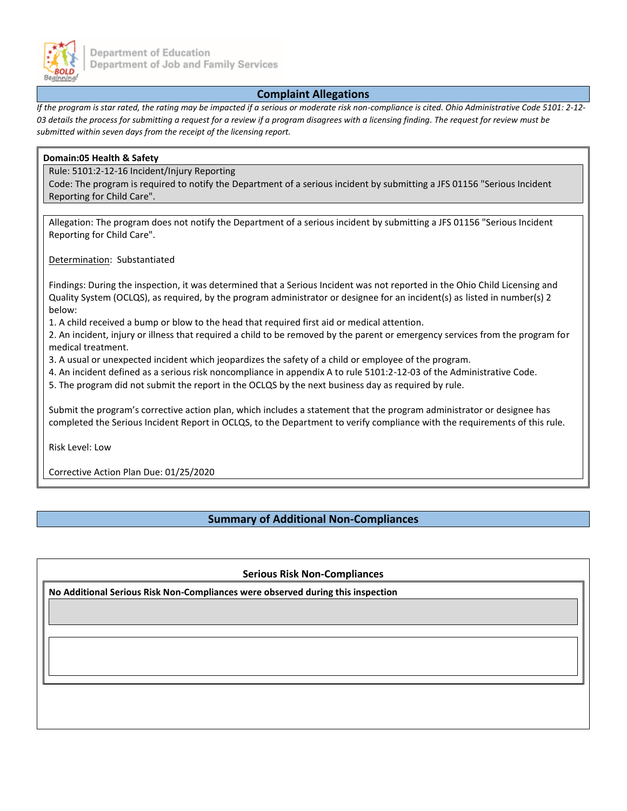

#### **Complaint Allegations**

*If the program is star rated, the rating may be impacted if a serious or moderate risk non-compliance is cited. Ohio Administrative Code 5101: 2-12- 03 details the process for submitting a request for a review if a program disagrees with a licensing finding. The request for review must be submitted within seven days from the receipt of the licensing report.*

## **Domain:05 Health & Safety** Rule: 5101:2-12-16 Incident/Injury Reporting Code: The program is required to notify the Department of a serious incident by submitting a JFS 01156 "Serious Incident Reporting for Child Care". Allegation: The program does not notify the Department of a serious incident by submitting a JFS 01156 "Serious Incident Reporting for Child Care". Determination: Substantiated Findings: During the inspection, it was determined that a Serious Incident was not reported in the Ohio Child Licensing and Quality System (OCLQS), as required, by the program administrator or designee for an incident(s) as listed in number(s) 2 below: 1. A child received a bump or blow to the head that required first aid or medical attention. 2. An incident, injury or illness that required a child to be removed by the parent or emergency services from the program for medical treatment. 3. A usual or unexpected incident which jeopardizes the safety of a child or employee of the program. 4. An incident defined as a serious risk noncompliance in appendix A to rule 5101:2-12-03 of the Administrative Code. 5. The program did not submit the report in the OCLQS by the next business day as required by rule. Submit the program's corrective action plan, which includes a statement that the program administrator or designee has completed the Serious Incident Report in OCLQS, to the Department to verify compliance with the requirements of this rule. Risk Level: Low Corrective Action Plan Due: 01/25/2020

### **Summary of Additional Non-Compliances**

**Serious Risk Non-Compliances**

**No Additional Serious Risk Non-Compliances were observed during this inspection**